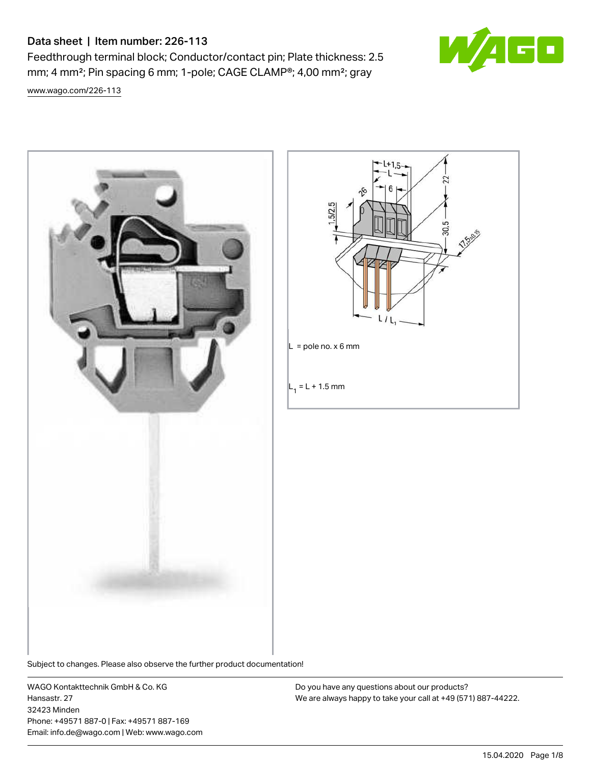# Data sheet | Item number: 226-113

Feedthrough terminal block; Conductor/contact pin; Plate thickness: 2.5 mm; 4 mm²; Pin spacing 6 mm; 1-pole; CAGE CLAMP®; 4,00 mm²; gray

ia

[www.wago.com/226-113](http://www.wago.com/226-113)





Subject to changes. Please also observe the further product documentation!

WAGO Kontakttechnik GmbH & Co. KG Hansastr. 27 32423 Minden Phone: +49571 887-0 | Fax: +49571 887-169 Email: info.de@wago.com | Web: www.wago.com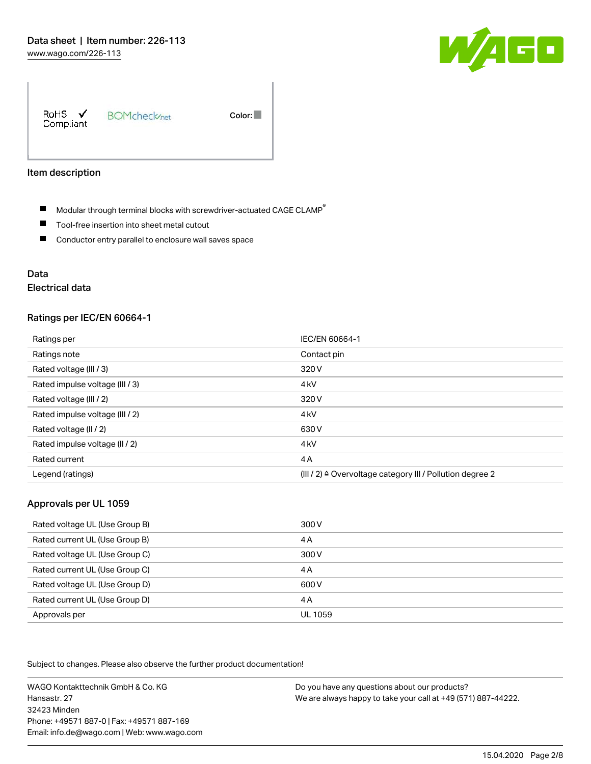

RoHS  $\checkmark$ **BOMcheck**<sub>net</sub> Color: Compliant

#### Item description

- $\blacksquare$  Modular through terminal blocks with screwdriver-actuated CAGE CLAMP<sup>®</sup>
- $\blacksquare$ Tool-free insertion into sheet metal cutout
- $\blacksquare$ Conductor entry parallel to enclosure wall saves space

# Data

# Electrical data

#### Ratings per IEC/EN 60664-1

| Ratings per                     | IEC/EN 60664-1                                                       |
|---------------------------------|----------------------------------------------------------------------|
| Ratings note                    | Contact pin                                                          |
| Rated voltage (III / 3)         | 320 V                                                                |
| Rated impulse voltage (III / 3) | 4 <sub>kV</sub>                                                      |
| Rated voltage (III / 2)         | 320 V                                                                |
| Rated impulse voltage (III / 2) | 4 <sub>kV</sub>                                                      |
| Rated voltage (II / 2)          | 630 V                                                                |
| Rated impulse voltage (II / 2)  | 4 <sub>kV</sub>                                                      |
| Rated current                   | 4A                                                                   |
| Legend (ratings)                | (III / 2) $\triangleq$ Overvoltage category III / Pollution degree 2 |

#### Approvals per UL 1059

| Rated voltage UL (Use Group B) | 300 V   |
|--------------------------------|---------|
| Rated current UL (Use Group B) | 4 A     |
| Rated voltage UL (Use Group C) | 300 V   |
| Rated current UL (Use Group C) | 4 A     |
| Rated voltage UL (Use Group D) | 600 V   |
| Rated current UL (Use Group D) | 4 A     |
| Approvals per                  | UL 1059 |

Subject to changes. Please also observe the further product documentation!

WAGO Kontakttechnik GmbH & Co. KG Hansastr. 27 32423 Minden Phone: +49571 887-0 | Fax: +49571 887-169 Email: info.de@wago.com | Web: www.wago.com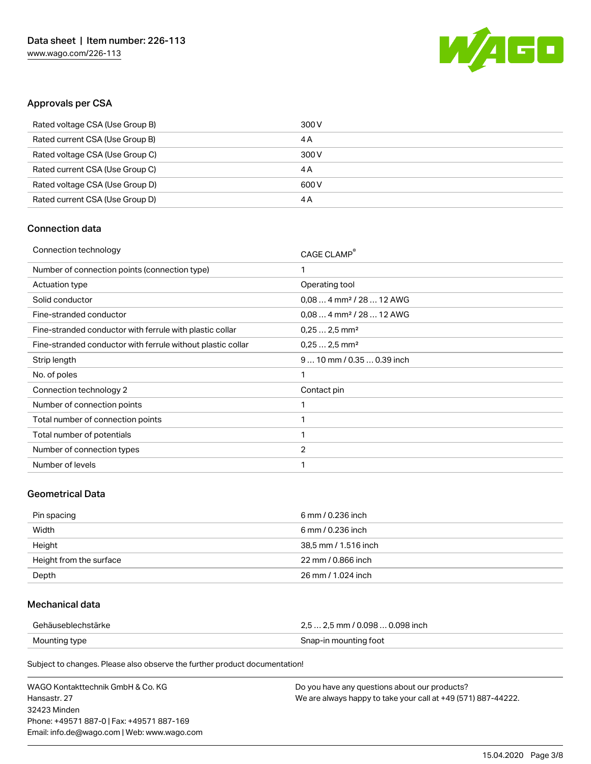

## Approvals per CSA

| Rated voltage CSA (Use Group B) | 300 V |
|---------------------------------|-------|
| Rated current CSA (Use Group B) | 4 A   |
| Rated voltage CSA (Use Group C) | 300 V |
| Rated current CSA (Use Group C) | 4 A   |
| Rated voltage CSA (Use Group D) | 600 V |
| Rated current CSA (Use Group D) | 4 A   |

# Connection data

| Connection technology                                       | CAGE CLAMP®                          |
|-------------------------------------------------------------|--------------------------------------|
| Number of connection points (connection type)               | 1                                    |
| Actuation type                                              | Operating tool                       |
| Solid conductor                                             | $0,084$ mm <sup>2</sup> / 28  12 AWG |
| Fine-stranded conductor                                     | $0.084$ mm <sup>2</sup> / 28  12 AWG |
| Fine-stranded conductor with ferrule with plastic collar    | $0,252,5$ mm <sup>2</sup>            |
| Fine-stranded conductor with ferrule without plastic collar | $0.252.5$ mm <sup>2</sup>            |
| Strip length                                                | $910$ mm / 0.35  0.39 inch           |
| No. of poles                                                | 1                                    |
| Connection technology 2                                     | Contact pin                          |
| Number of connection points                                 | 1                                    |
| Total number of connection points                           | 1                                    |
| Total number of potentials                                  | 1                                    |
| Number of connection types                                  | $\overline{2}$                       |
| Number of levels                                            | 1                                    |
|                                                             |                                      |

### Geometrical Data

| Pin spacing             | 6 mm / 0.236 inch    |
|-------------------------|----------------------|
| Width                   | 6 mm / 0.236 inch    |
| Height                  | 38,5 mm / 1.516 inch |
| Height from the surface | 22 mm / 0.866 inch   |
| Depth                   | 26 mm / 1.024 inch   |

## Mechanical data

| Gehäuseblechstärke | $2.5$ 2.5 mm / 0.098 $$ 0.098 inch |
|--------------------|------------------------------------|
| Mounting type      | Snap-in mounting foot              |

Subject to changes. Please also observe the further product documentation!

| WAGO Kontakttechnik GmbH & Co. KG           | Do you have any questions about our products?                 |
|---------------------------------------------|---------------------------------------------------------------|
| Hansastr. 27                                | We are always happy to take your call at +49 (571) 887-44222. |
| 32423 Minden                                |                                                               |
| Phone: +49571 887-01 Fax: +49571 887-169    |                                                               |
| Email: info.de@wago.com   Web: www.wago.com |                                                               |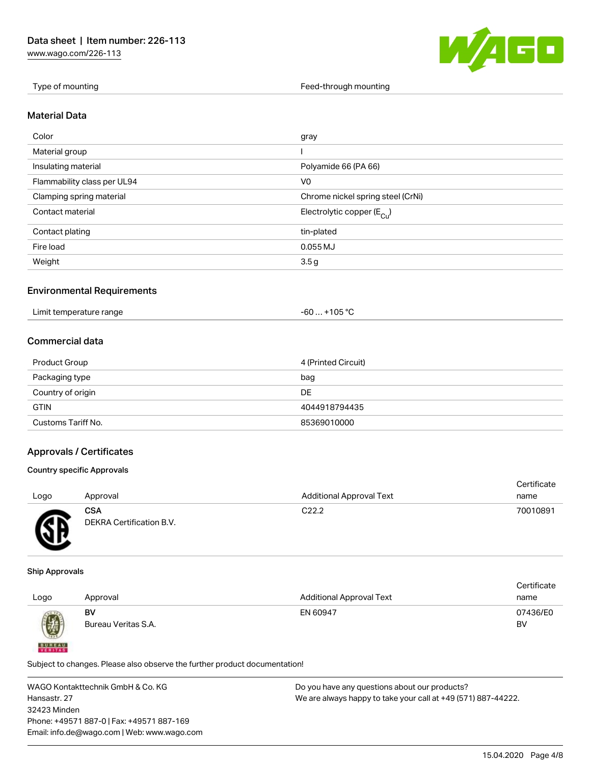[www.wago.com/226-113](http://www.wago.com/226-113)



Type of mounting Type of mounting Feed-through mounting Feed-through mounting

#### Material Data

| Color                       | gray                                  |
|-----------------------------|---------------------------------------|
| Material group              |                                       |
| Insulating material         | Polyamide 66 (PA 66)                  |
| Flammability class per UL94 | V <sub>0</sub>                        |
| Clamping spring material    | Chrome nickel spring steel (CrNi)     |
| Contact material            | Electrolytic copper $(E_{\text{Cl}})$ |
| Contact plating             | tin-plated                            |
| Fire load                   | $0.055$ MJ                            |
| Weight                      | 3.5 <sub>g</sub>                      |

#### Environmental Requirements

| Limit temperature range | $+105 °C$<br>-60… |
|-------------------------|-------------------|
|-------------------------|-------------------|

# Commercial data

| Product Group      | 4 (Printed Circuit) |
|--------------------|---------------------|
| Packaging type     | bag                 |
| Country of origin  | DE                  |
| <b>GTIN</b>        | 4044918794435       |
| Customs Tariff No. | 85369010000         |

## Approvals / Certificates

#### Country specific Approvals

| Logo      | Approval                               | <b>Additional Approval Text</b> | Certificate<br>name |
|-----------|----------------------------------------|---------------------------------|---------------------|
| <b>ER</b> | <b>CSA</b><br>DEKRA Certification B.V. | C <sub>22.2</sub>               | 70010891            |

#### Ship Approvals

**BUREAU** 

|      |                     |                                 | Certificate |
|------|---------------------|---------------------------------|-------------|
| Logo | Approval            | <b>Additional Approval Text</b> | name        |
|      | BV                  | EN 60947                        | 07436/E0    |
| 0    | Bureau Veritas S.A. |                                 | BV          |
|      |                     |                                 |             |

Subject to changes. Please also observe the further product documentation!

WAGO Kontakttechnik GmbH & Co. KG Hansastr. 27 32423 Minden Phone: +49571 887-0 | Fax: +49571 887-169 Email: info.de@wago.com | Web: www.wago.com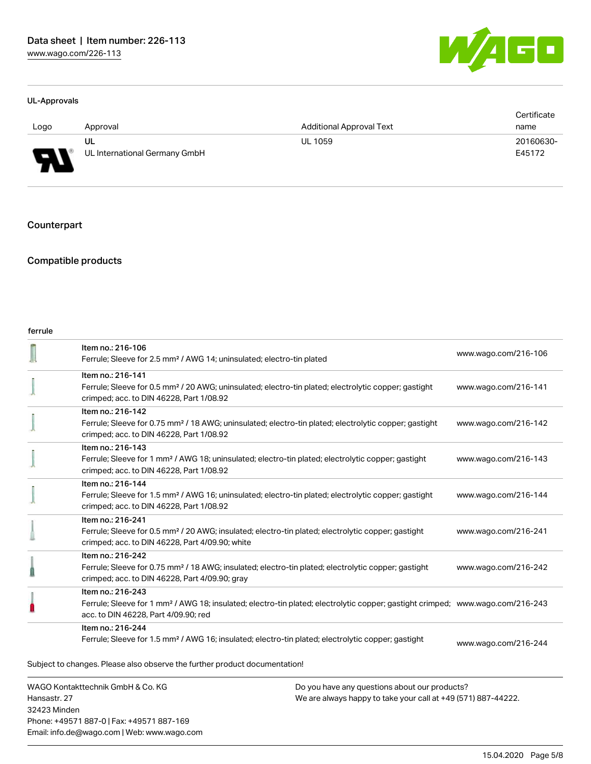

#### UL-Approvals

|      |                               |                                 | Certificate |
|------|-------------------------------|---------------------------------|-------------|
| Logo | Approval                      | <b>Additional Approval Text</b> | name        |
|      | UL                            | <b>UL 1059</b>                  | 20160630-   |
| L    | UL International Germany GmbH |                                 | E45172      |

Counterpart

# Compatible products

#### ferrule

| WAGO Kontakttechnik GmbH & Co. KG<br>Hancactr 27 |                                                                                                                                                                                                         | Do you have any questions about our products?<br>Me are always hanny to take your call at +49 (571) 887-44222 |                      |
|--------------------------------------------------|---------------------------------------------------------------------------------------------------------------------------------------------------------------------------------------------------------|---------------------------------------------------------------------------------------------------------------|----------------------|
|                                                  | Subject to changes. Please also observe the further product documentation!                                                                                                                              |                                                                                                               |                      |
|                                                  | Item no.: 216-244<br>Ferrule; Sleeve for 1.5 mm <sup>2</sup> / AWG 16; insulated; electro-tin plated; electrolytic copper; gastight                                                                     |                                                                                                               | www.wago.com/216-244 |
|                                                  | Item no.: 216-243<br>Ferrule; Sleeve for 1 mm <sup>2</sup> / AWG 18; insulated; electro-tin plated; electrolytic copper; gastight crimped; www.wago.com/216-243<br>acc. to DIN 46228, Part 4/09.90; red |                                                                                                               |                      |
|                                                  | Item no.: 216-242<br>Ferrule; Sleeve for 0.75 mm <sup>2</sup> / 18 AWG; insulated; electro-tin plated; electrolytic copper; gastight<br>crimped; acc. to DIN 46228, Part 4/09.90; gray                  |                                                                                                               | www.wago.com/216-242 |
|                                                  | Item no.: 216-241<br>Ferrule; Sleeve for 0.5 mm <sup>2</sup> / 20 AWG; insulated; electro-tin plated; electrolytic copper; gastight<br>crimped; acc. to DIN 46228, Part 4/09.90; white                  |                                                                                                               | www.wago.com/216-241 |
|                                                  | Item no.: 216-144<br>Ferrule; Sleeve for 1.5 mm <sup>2</sup> / AWG 16; uninsulated; electro-tin plated; electrolytic copper; gastight<br>crimped; acc. to DIN 46228, Part 1/08.92                       |                                                                                                               | www.wago.com/216-144 |
|                                                  | Item no.: 216-143<br>Ferrule; Sleeve for 1 mm <sup>2</sup> / AWG 18; uninsulated; electro-tin plated; electrolytic copper; gastight<br>crimped; acc. to DIN 46228, Part 1/08.92                         |                                                                                                               | www.wago.com/216-143 |
|                                                  | Item no.: 216-142<br>Ferrule; Sleeve for 0.75 mm <sup>2</sup> / 18 AWG; uninsulated; electro-tin plated; electrolytic copper; gastight<br>crimped; acc. to DIN 46228, Part 1/08.92                      |                                                                                                               | www.wago.com/216-142 |
|                                                  | Item no.: 216-141<br>Ferrule; Sleeve for 0.5 mm <sup>2</sup> / 20 AWG; uninsulated; electro-tin plated; electrolytic copper; gastight<br>crimped; acc. to DIN 46228, Part 1/08.92                       |                                                                                                               | www.wago.com/216-141 |
|                                                  | Item no.: 216-106<br>Ferrule; Sleeve for 2.5 mm <sup>2</sup> / AWG 14; uninsulated; electro-tin plated                                                                                                  |                                                                                                               | www.wago.com/216-106 |

Hansastr. 27 32423 Minden Phone: +49571 887-0 | Fax: +49571 887-169 Email: info.de@wago.com | Web: www.wago.com We are always happy to take your call at +49 (571) 887-44222.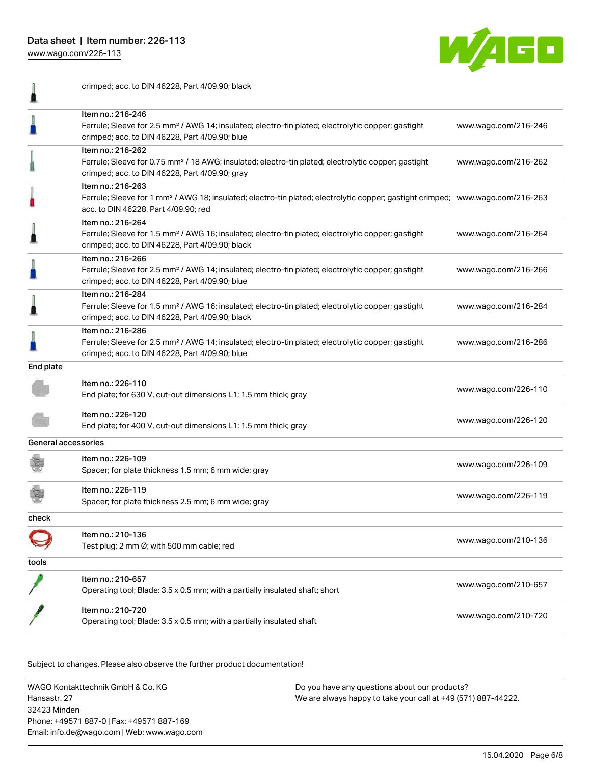Data sheet | Item number: 226-113

[www.wago.com/226-113](http://www.wago.com/226-113)



|                     | crimped; acc. to DIN 46228, Part 4/09.90; black                                                                                                                                                         |                      |
|---------------------|---------------------------------------------------------------------------------------------------------------------------------------------------------------------------------------------------------|----------------------|
|                     | Item no.: 216-246<br>Ferrule; Sleeve for 2.5 mm <sup>2</sup> / AWG 14; insulated; electro-tin plated; electrolytic copper; gastight<br>crimped; acc. to DIN 46228, Part 4/09.90; blue                   | www.wago.com/216-246 |
|                     | Item no.: 216-262<br>Ferrule; Sleeve for 0.75 mm <sup>2</sup> / 18 AWG; insulated; electro-tin plated; electrolytic copper; gastight<br>crimped; acc. to DIN 46228, Part 4/09.90; gray                  | www.wago.com/216-262 |
|                     | Item no.: 216-263<br>Ferrule; Sleeve for 1 mm <sup>2</sup> / AWG 18; insulated; electro-tin plated; electrolytic copper; gastight crimped; www.wago.com/216-263<br>acc. to DIN 46228, Part 4/09.90; red |                      |
|                     | Item no.: 216-264<br>Ferrule; Sleeve for 1.5 mm <sup>2</sup> / AWG 16; insulated; electro-tin plated; electrolytic copper; gastight<br>crimped; acc. to DIN 46228, Part 4/09.90; black                  | www.wago.com/216-264 |
|                     | Item no.: 216-266<br>Ferrule; Sleeve for 2.5 mm <sup>2</sup> / AWG 14; insulated; electro-tin plated; electrolytic copper; gastight<br>crimped; acc. to DIN 46228, Part 4/09.90; blue                   | www.wago.com/216-266 |
|                     | Item no.: 216-284<br>Ferrule; Sleeve for 1.5 mm <sup>2</sup> / AWG 16; insulated; electro-tin plated; electrolytic copper; gastight<br>crimped; acc. to DIN 46228, Part 4/09.90; black                  | www.wago.com/216-284 |
|                     | Item no.: 216-286<br>Ferrule; Sleeve for 2.5 mm <sup>2</sup> / AWG 14; insulated; electro-tin plated; electrolytic copper; gastight<br>crimped; acc. to DIN 46228, Part 4/09.90; blue                   | www.wago.com/216-286 |
| End plate           |                                                                                                                                                                                                         |                      |
|                     | Item no.: 226-110<br>End plate; for 630 V, cut-out dimensions L1; 1.5 mm thick; gray                                                                                                                    | www.wago.com/226-110 |
|                     | Item no.: 226-120<br>End plate; for 400 V, cut-out dimensions L1; 1.5 mm thick; gray                                                                                                                    | www.wago.com/226-120 |
| General accessories |                                                                                                                                                                                                         |                      |
|                     | Item no.: 226-109<br>Spacer; for plate thickness 1.5 mm; 6 mm wide; gray                                                                                                                                | www.wago.com/226-109 |
|                     | Item no.: 226-119<br>Spacer; for plate thickness 2.5 mm; 6 mm wide; gray                                                                                                                                | www.wago.com/226-119 |
| check               |                                                                                                                                                                                                         |                      |
|                     | Item no.: 210-136<br>Test plug; 2 mm Ø; with 500 mm cable; red                                                                                                                                          | www.wago.com/210-136 |
| tools               |                                                                                                                                                                                                         |                      |
|                     | ltem no.: 210-657<br>Operating tool; Blade: 3.5 x 0.5 mm; with a partially insulated shaft; short                                                                                                       | www.wago.com/210-657 |
|                     | Item no.: 210-720<br>Operating tool; Blade: 3.5 x 0.5 mm; with a partially insulated shaft                                                                                                              | www.wago.com/210-720 |
|                     |                                                                                                                                                                                                         |                      |

Subject to changes. Please also observe the further product documentation! Downloads

WAGO Kontakttechnik GmbH & Co. KG Hansastr. 27 32423 Minden Phone: +49571 887-0 | Fax: +49571 887-169 Email: info.de@wago.com | Web: www.wago.com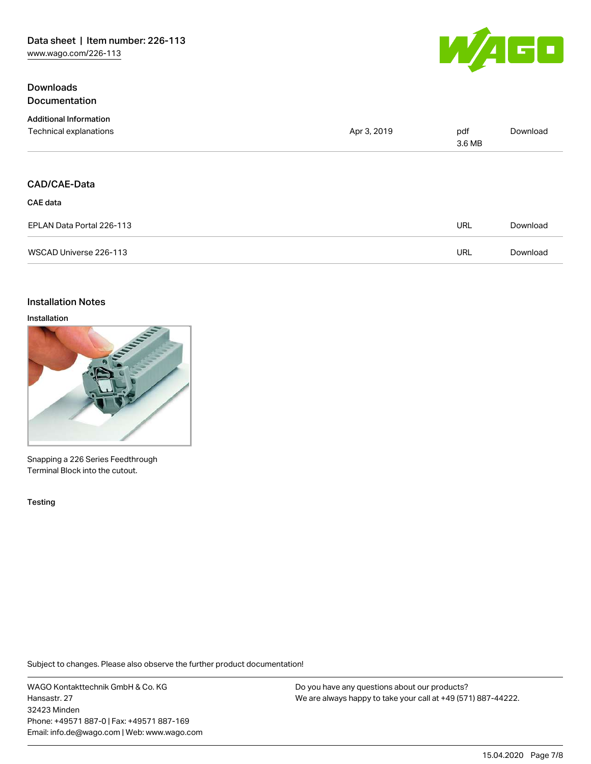## **Downloads Documentation**



| <b>Additional Information</b> |             |               |          |
|-------------------------------|-------------|---------------|----------|
| Technical explanations        | Apr 3, 2019 | pdf<br>3.6 MB | Download |
|                               |             |               |          |
| <b>CAD/CAE-Data</b>           |             |               |          |
| CAE data                      |             |               |          |
| EPLAN Data Portal 226-113     |             | URL           | Download |
| WSCAD Universe 226-113        |             | URL           | Download |

### Installation Notes

#### Installation



Snapping a 226 Series Feedthrough Terminal Block into the cutout.

Testing

Subject to changes. Please also observe the further product documentation!

WAGO Kontakttechnik GmbH & Co. KG Hansastr. 27 32423 Minden Phone: +49571 887-0 | Fax: +49571 887-169 Email: info.de@wago.com | Web: www.wago.com